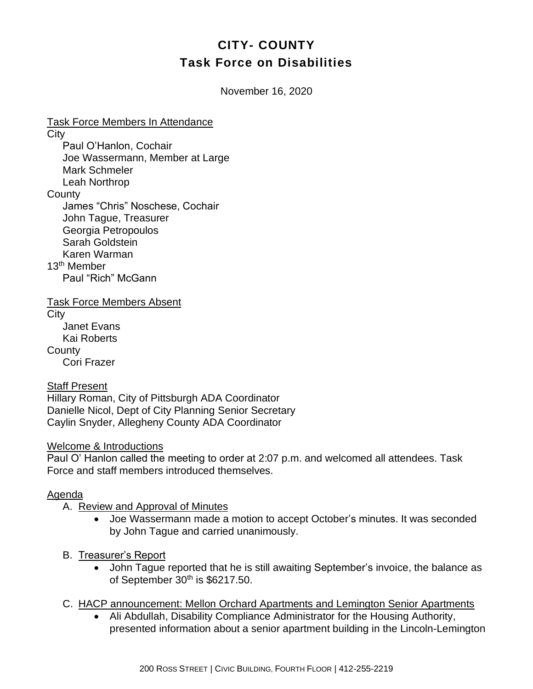# **CITY- COUNTY Task Force on Disabilities**

November 16, 2020

Task Force Members In Attendance **City** Paul O'Hanlon, Cochair Joe Wassermann, Member at Large Mark Schmeler Leah Northrop **County** James "Chris" Noschese, Cochair John Tague, Treasurer Georgia Petropoulos Sarah Goldstein Karen Warman 13th Member Paul "Rich" McGann Task Force Members Absent

**City** Janet Evans Kai Roberts **County** Cori Frazer

#### Staff Present

Hillary Roman, City of Pittsburgh ADA Coordinator Danielle Nicol, Dept of City Planning Senior Secretary Caylin Snyder, Allegheny County ADA Coordinator

## Welcome & Introductions

Paul O' Hanlon called the meeting to order at 2:07 p.m. and welcomed all attendees. Task Force and staff members introduced themselves.

## Agenda

- A. Review and Approval of Minutes
	- Joe Wassermann made a motion to accept October's minutes. It was seconded by John Tague and carried unanimously.
- B. Treasurer's Report
	- John Tague reported that he is still awaiting September's invoice, the balance as of September  $30<sup>th</sup>$  is \$6217.50.
- C. HACP announcement: Mellon Orchard Apartments and Lemington Senior Apartments
	- Ali Abdullah, Disability Compliance Administrator for the Housing Authority, presented information about a senior apartment building in the Lincoln-Lemington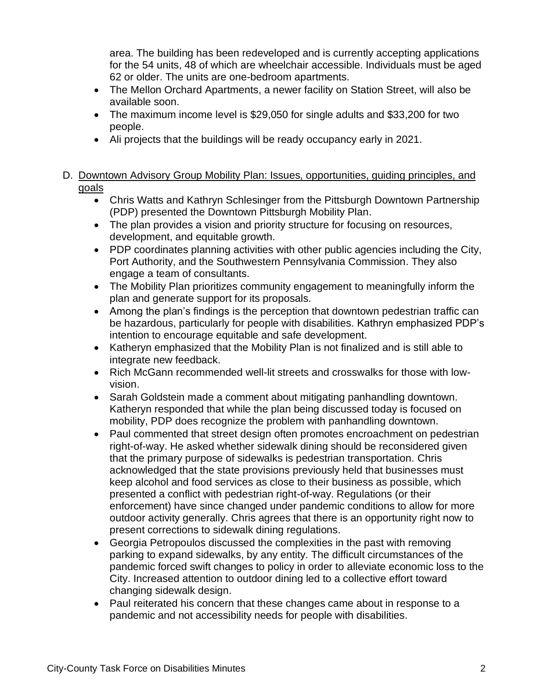area. The building has been redeveloped and is currently accepting applications for the 54 units, 48 of which are wheelchair accessible. Individuals must be aged 62 or older. The units are one-bedroom apartments.

- The Mellon Orchard Apartments, a newer facility on Station Street, will also be available soon.
- The maximum income level is \$29,050 for single adults and \$33,200 for two people.
- Ali projects that the buildings will be ready occupancy early in 2021.

## D. Downtown Advisory Group Mobility Plan: Issues, opportunities, guiding principles, and goals

- Chris Watts and Kathryn Schlesinger from the Pittsburgh Downtown Partnership (PDP) presented the Downtown Pittsburgh Mobility Plan.
- The plan provides a vision and priority structure for focusing on resources, development, and equitable growth.
- PDP coordinates planning activities with other public agencies including the City, Port Authority, and the Southwestern Pennsylvania Commission. They also engage a team of consultants.
- The Mobility Plan prioritizes community engagement to meaningfully inform the plan and generate support for its proposals.
- Among the plan's findings is the perception that downtown pedestrian traffic can be hazardous, particularly for people with disabilities. Kathryn emphasized PDP's intention to encourage equitable and safe development.
- Katheryn emphasized that the Mobility Plan is not finalized and is still able to integrate new feedback.
- Rich McGann recommended well-lit streets and crosswalks for those with lowvision.
- Sarah Goldstein made a comment about mitigating panhandling downtown. Katheryn responded that while the plan being discussed today is focused on mobility, PDP does recognize the problem with panhandling downtown.
- Paul commented that street design often promotes encroachment on pedestrian right-of-way. He asked whether sidewalk dining should be reconsidered given that the primary purpose of sidewalks is pedestrian transportation. Chris acknowledged that the state provisions previously held that businesses must keep alcohol and food services as close to their business as possible, which presented a conflict with pedestrian right-of-way. Regulations (or their enforcement) have since changed under pandemic conditions to allow for more outdoor activity generally. Chris agrees that there is an opportunity right now to present corrections to sidewalk dining regulations.
- Georgia Petropoulos discussed the complexities in the past with removing parking to expand sidewalks, by any entity. The difficult circumstances of the pandemic forced swift changes to policy in order to alleviate economic loss to the City. Increased attention to outdoor dining led to a collective effort toward changing sidewalk design.
- Paul reiterated his concern that these changes came about in response to a pandemic and not accessibility needs for people with disabilities.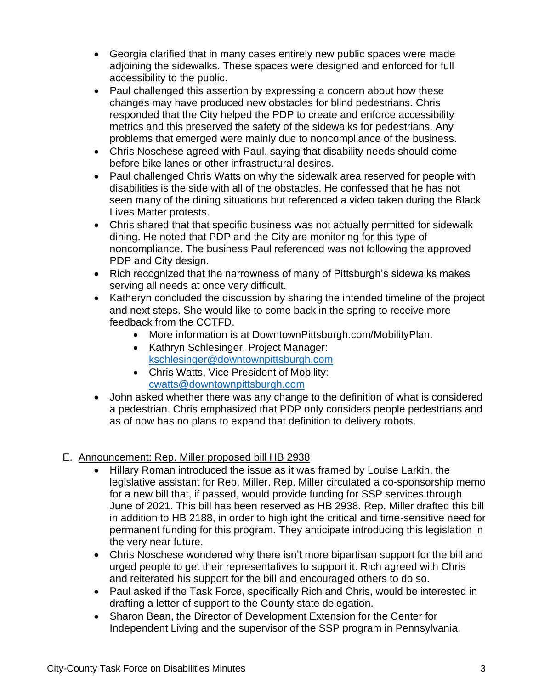- Georgia clarified that in many cases entirely new public spaces were made adjoining the sidewalks. These spaces were designed and enforced for full accessibility to the public.
- Paul challenged this assertion by expressing a concern about how these changes may have produced new obstacles for blind pedestrians. Chris responded that the City helped the PDP to create and enforce accessibility metrics and this preserved the safety of the sidewalks for pedestrians. Any problems that emerged were mainly due to noncompliance of the business.
- Chris Noschese agreed with Paul, saying that disability needs should come before bike lanes or other infrastructural desires.
- Paul challenged Chris Watts on why the sidewalk area reserved for people with disabilities is the side with all of the obstacles. He confessed that he has not seen many of the dining situations but referenced a video taken during the Black Lives Matter protests.
- Chris shared that that specific business was not actually permitted for sidewalk dining. He noted that PDP and the City are monitoring for this type of noncompliance. The business Paul referenced was not following the approved PDP and City design.
- Rich recognized that the narrowness of many of Pittsburgh's sidewalks makes serving all needs at once very difficult.
- Katheryn concluded the discussion by sharing the intended timeline of the project and next steps. She would like to come back in the spring to receive more feedback from the CCTFD.
	- More information is at DowntownPittsburgh.com/MobilityPlan.
	- Kathryn Schlesinger, Project Manager: [kschlesinger@downtownpittsburgh.com](mailto:kschlesinger@downtownpittsburgh.com)
	- Chris Watts, Vice President of Mobility: [cwatts@downtownpittsburgh.com](mailto:cwatts@downtownpittsburgh.com)
- John asked whether there was any change to the definition of what is considered a pedestrian. Chris emphasized that PDP only considers people pedestrians and as of now has no plans to expand that definition to delivery robots.

## E. Announcement: Rep. Miller proposed bill HB 2938

- Hillary Roman introduced the issue as it was framed by Louise Larkin, the legislative assistant for Rep. Miller. Rep. Miller circulated a co-sponsorship memo for a new bill that, if passed, would provide funding for SSP services through June of 2021. This bill has been reserved as HB 2938. Rep. Miller drafted this bill in addition to HB 2188, in order to highlight the critical and time-sensitive need for permanent funding for this program. They anticipate introducing this legislation in the very near future.
- Chris Noschese wondered why there isn't more bipartisan support for the bill and urged people to get their representatives to support it. Rich agreed with Chris and reiterated his support for the bill and encouraged others to do so.
- Paul asked if the Task Force, specifically Rich and Chris, would be interested in drafting a letter of support to the County state delegation.
- Sharon Bean, the Director of Development Extension for the Center for Independent Living and the supervisor of the SSP program in Pennsylvania,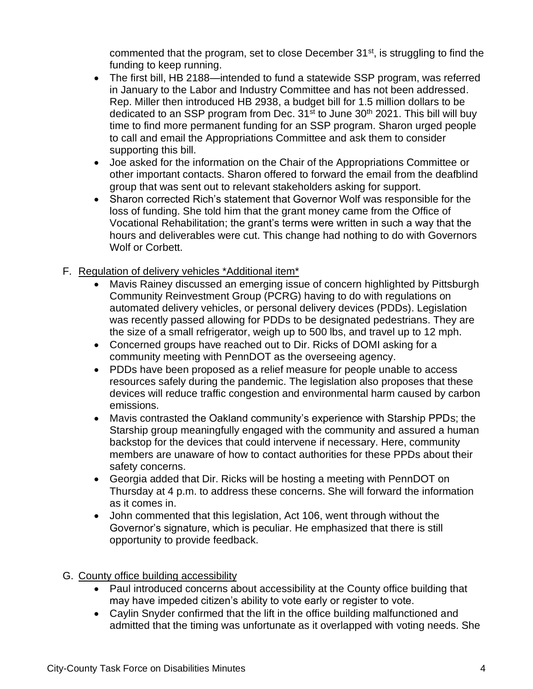commented that the program, set to close December  $31<sup>st</sup>$ , is struggling to find the funding to keep running.

- The first bill, HB 2188—intended to fund a statewide SSP program, was referred in January to the Labor and Industry Committee and has not been addressed. Rep. Miller then introduced HB 2938, a budget bill for 1.5 million dollars to be dedicated to an SSP program from Dec.  $31<sup>st</sup>$  to June  $30<sup>th</sup>$  2021. This bill will buy time to find more permanent funding for an SSP program. Sharon urged people to call and email the Appropriations Committee and ask them to consider supporting this bill.
- Joe asked for the information on the Chair of the Appropriations Committee or other important contacts. Sharon offered to forward the email from the deafblind group that was sent out to relevant stakeholders asking for support.
- Sharon corrected Rich's statement that Governor Wolf was responsible for the loss of funding. She told him that the grant money came from the Office of Vocational Rehabilitation; the grant's terms were written in such a way that the hours and deliverables were cut. This change had nothing to do with Governors Wolf or Corbett.
- F. Regulation of delivery vehicles \*Additional item\*
	- Mavis Rainey discussed an emerging issue of concern highlighted by Pittsburgh Community Reinvestment Group (PCRG) having to do with regulations on automated delivery vehicles, or personal delivery devices (PDDs). Legislation was recently passed allowing for PDDs to be designated pedestrians. They are the size of a small refrigerator, weigh up to 500 lbs, and travel up to 12 mph.
	- Concerned groups have reached out to Dir. Ricks of DOMI asking for a community meeting with PennDOT as the overseeing agency.
	- PDDs have been proposed as a relief measure for people unable to access resources safely during the pandemic. The legislation also proposes that these devices will reduce traffic congestion and environmental harm caused by carbon emissions.
	- Mavis contrasted the Oakland community's experience with Starship PPDs; the Starship group meaningfully engaged with the community and assured a human backstop for the devices that could intervene if necessary. Here, community members are unaware of how to contact authorities for these PPDs about their safety concerns.
	- Georgia added that Dir. Ricks will be hosting a meeting with PennDOT on Thursday at 4 p.m. to address these concerns. She will forward the information as it comes in.
	- John commented that this legislation, Act 106, went through without the Governor's signature, which is peculiar. He emphasized that there is still opportunity to provide feedback.

## G. County office building accessibility

- Paul introduced concerns about accessibility at the County office building that may have impeded citizen's ability to vote early or register to vote.
- Caylin Snyder confirmed that the lift in the office building malfunctioned and admitted that the timing was unfortunate as it overlapped with voting needs. She